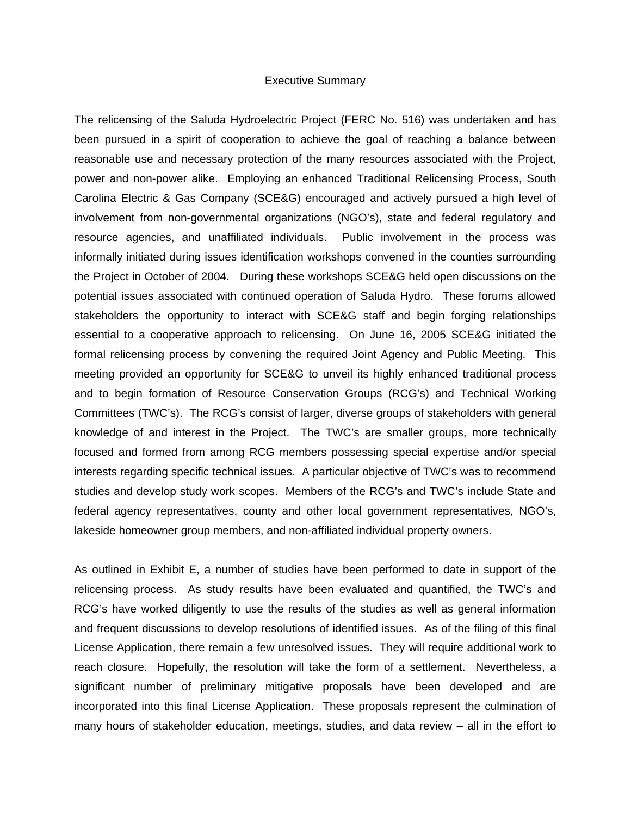## Executive Summary

The relicensing of the Saluda Hydroelectric Project (FERC No. 516) was undertaken and has been pursued in a spirit of cooperation to achieve the goal of reaching a balance between reasonable use and necessary protection of the many resources associated with the Project, power and non-power alike. Employing an enhanced Traditional Relicensing Process, South Carolina Electric & Gas Company (SCE&G) encouraged and actively pursued a high level of involvement from non-governmental organizations (NGO's), state and federal regulatory and resource agencies, and unaffiliated individuals. Public involvement in the process was informally initiated during issues identification workshops convened in the counties surrounding the Project in October of 2004. During these workshops SCE&G held open discussions on the potential issues associated with continued operation of Saluda Hydro. These forums allowed stakeholders the opportunity to interact with SCE&G staff and begin forging relationships essential to a cooperative approach to relicensing. On June 16, 2005 SCE&G initiated the formal relicensing process by convening the required Joint Agency and Public Meeting. This meeting provided an opportunity for SCE&G to unveil its highly enhanced traditional process and to begin formation of Resource Conservation Groups (RCG's) and Technical Working Committees (TWC's). The RCG's consist of larger, diverse groups of stakeholders with general knowledge of and interest in the Project. The TWC's are smaller groups, more technically focused and formed from among RCG members possessing special expertise and/or special interests regarding specific technical issues. A particular objective of TWC's was to recommend studies and develop study work scopes. Members of the RCG's and TWC's include State and federal agency representatives, county and other local government representatives, NGO's, lakeside homeowner group members, and non-affiliated individual property owners.

As outlined in Exhibit E, a number of studies have been performed to date in support of the relicensing process. As study results have been evaluated and quantified, the TWC's and RCG's have worked diligently to use the results of the studies as well as general information and frequent discussions to develop resolutions of identified issues. As of the filing of this final License Application, there remain a few unresolved issues. They will require additional work to reach closure. Hopefully, the resolution will take the form of a settlement. Nevertheless, a significant number of preliminary mitigative proposals have been developed and are incorporated into this final License Application. These proposals represent the culmination of many hours of stakeholder education, meetings, studies, and data review – all in the effort to